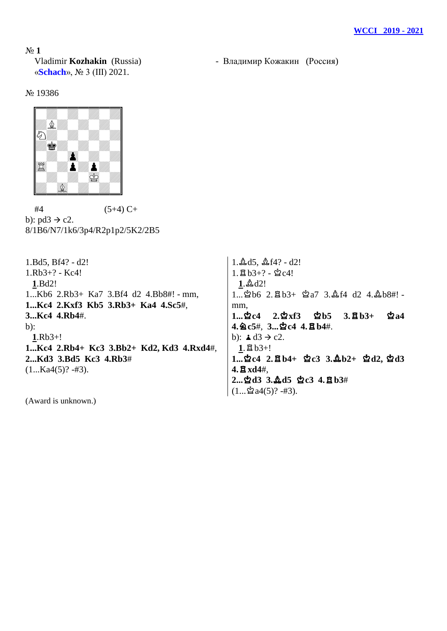№ **1** «**Schach**», № 3 (III) 2021.

Vladimir **Kozhakin** (Russia) - Владимир Кожакин (Россия)

№ 19386



 $#4$  (5+4) C+ b):  $pd3 \rightarrow c2$ . 8/1B6/N7/1k6/3p4/R2p1p2/5K2/2B5

1.Bd5, Bf4? - d2! 1.Rb3+? - Kc4! **1**.Bd2! 1...Kb6 2.Rb3+ Ka7 3.Bf4 d2 4.Bb8#! - mm, **1...Kc4 2.Kxf3 Kb5 3.Rb3+ Ka4 4.Sc5**#, **3...Kc4 4.Rb4**#.  $b$ : **1**.Rb3+! **1...Kc4 2.Rb4+ Kc3 3.Bb2+ Kd2, Kd3 4.Rxd4**#, **2...Kd3 3.Bd5 Kc3 4.Rb3**#  $(1...Ka4(5)? - #3).$  $1.\Delta d5, \Delta f4? - d2!$  $1.\boxtimes b3+? - \&c4!$  $1.\&\,d2!$ mm, **4.**m**c5**#, **3...**u**c4 4.**q**b4**#. b):  $\triangle$  d3  $\rightarrow$  c2.  $1.\boxtimes b3+!$ **4.**q**xd4**#, **2...**u**d3 3.**o**d5** u**c3 4.**q**b3**#

(Award is unknown.)

 $1...$  $b6$   $2.\overline{2}b3+$   $c2a7$   $3.\overline{2}f4$   $d2$   $4.\overline{2}b8\#!$  -1...空c4 2.空xf3 空b5 3.宫b3+ 空a4 **1...**u**c4 2.**q**b4+** u**c3 3.**o**b2+** u**d2,** u**d3**   $(1...\triangle 2a4(5)? - #3).$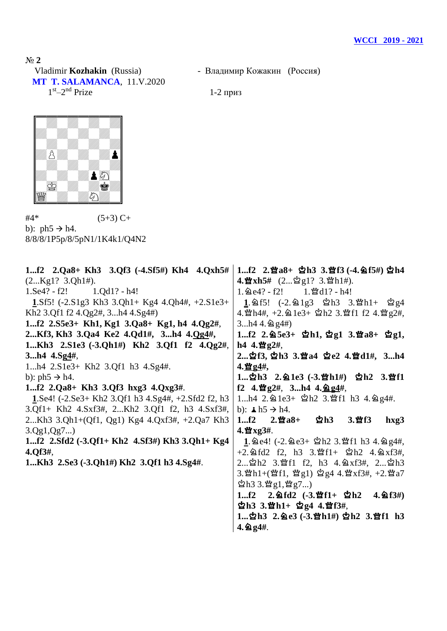Nº 2<br>Vladimir **Kozhakin** (Russia) **MT T. SALAMANCA**, 11.V.2020  $1<sup>st</sup> - 2<sup>nd</sup>$  Prize 1-2 приз

- Владимир Кожакин (Россия)



 $#4^*$  (5+3) C+ b):  $ph5 \rightarrow h4$ . 8/8/8/1P5p/8/5pN1/1K4k1/Q4N2

| 1f2 $2.Qa8 + Kh3$ $3.Qf3$ $(-4.8f5\#) Kh4$ $4.Qxh5\#$                                          | 1f2 2.瞥a8+ 空h3 3.瞥f3 (-4.鱼f5#) 空h4                                                  |
|------------------------------------------------------------------------------------------------|-------------------------------------------------------------------------------------|
| (2Kg1? 3.Qh1#).                                                                                | 4. 曾xh5# $(2\n991? 3.\n911#)$ .                                                     |
| $1.Se4? - f2!$ $1.Qd1? - h4!$                                                                  | 1. $\triangle$ e4? - f2! 1. $\triangle$ d1? - h4!                                   |
| 1.Sf5! $(-2.51g3 \text{ Kh3 } 3.Qh1 + \text{Kg4 } 4.Qh4\#$ , $+2.51e3 +$                       | 1. 2f5! $(-2.21g3 \text{ } g1g3 \text{ } 3.2h1 + g2g4$                              |
| Kh <sub>2</sub> 3.Qf1 f <sub>2</sub> 4.Qg <sub>2</sub> #, 3h <sub>4</sub> 4.Sg <sub>4#</sub> ) | 4. 빨h4#, +2. 실 1e3+ 할h2 3. 빨f1 f2 4. 빨g2#,                                          |
| 1f2 2.S5e3+ Kh1, Kg1 3.Qa8+ Kg1, h4 4.Qg2#,                                                    | 3 $h4$ 4. $\textcircled{2}$ g4#)                                                    |
| 2Kf3, Kh3 3.Qa4 Ke2 4.Qd1#, 3h4 4.Qg4#,                                                        | 1f2 2. 2.5e3+ \$h1, \$g1 3. $a_8$ + \$g1,                                           |
| 1Kh3 2.S1e3 (-3.Qh1#) Kh2 3.Qf1 f2 4.Qg2#,                                                     | h4 4. $\mathbf{H}$ g2#,                                                             |
| 3 $h4$ 4.Sg4#,                                                                                 | 2空f3, 空h3 3.營a4 空e2 4.營d1#, 3h4                                                     |
| 1h4 2.S1e3+ Kh2 3.Qf1 h3 4.Sg4#.                                                               | <u>4.營g4</u> #,                                                                     |
| b): $ph5 \rightarrow h4$ .                                                                     | 1空h3 2.鱼1e3 (-3.曾h1#) 空h2 3.曾f1                                                     |
| 1f2 $2 \cdot Qa8 + Kh3$ $3 \cdot Qf3$ $hxg3$ $4 \cdot Qxg3$ #.                                 | f2 4. 曾g2#, 3h4 4. gg4#,                                                            |
| 1.Se4! $(-2.5e3 + Kh2 3.0f1 h3 4.5g4\#,+2.5f1d2 f2, h3$                                        | 1h4 2. @ 1e3+ ☆ h2 3. \f1 h3 4. @ g4#.                                              |
| 3.Qf1+ Kh2 4.Sxf3#, 2Kh2 3.Qf1 f2, h3 4.Sxf3#,                                                 | b): $\angle$ h5 $\rightarrow$ h4.                                                   |
| 2Kh3 3.Qh1+(Qf1, Qg1) Kg4 4.Qxf3#, +2.Qa7 Kh3                                                  | ☆ 2h3 3.營f3<br>$1f2 \qquad 2.\,$ 營 $a8+$<br>$h \chi g3$                             |
| 3.Qg1,Qg7                                                                                      | $4.$ 暨 xg3#.                                                                        |
| 1f2 $2.Sfd2$ (-3.Qf1+ Kh2 $4.Sf3\#$ ) Kh3 $3.Qh1+Kg4$                                          | $1.2$ e4! (-2.2 e3+ $2h2$ 3. f1 h3 4.2 g4#,                                         |
| $4. Qf3#$ ,                                                                                    | $+2.\,\approx \text{fd2}$ f2, h3 3. $\text{df1}+ \text{ch2}$ 4. $\text{dx}$ f3#,    |
| 1Kh3 2.Se3 (-3.Qh1#) Kh2 3.Qf1 h3 4.Sg4#.                                                      | 2 \$h2 3. lef1 f2, h3 4. @ xf3#, 2 \$h3                                             |
|                                                                                                | 3. sm h 1+(sm f 1, sm g 1) \$ g 4 4. sm x f 3#, +2. sm a 7                          |
|                                                                                                | $\mathbf{\dot{\mathfrak{L}}}$ h3 3. $\mathbf{\ddot{g}}$ g1, $\mathbf{\ddot{g}}$ g7) |
|                                                                                                | 1f2 2. $\triangleq$ fd2 (-3. $\triangleq$ f1+ $\triangleq$ h2 4. $\triangleq$ f3#)  |
|                                                                                                | 업h3 3.쌀h1+ 업g4 4.쌀f3#,                                                              |
|                                                                                                | 1 \$h3 2. 2 e3 (-3. \matheta} \$h2 3. \matheta} h3                                  |
|                                                                                                | $4.2g4#$ .                                                                          |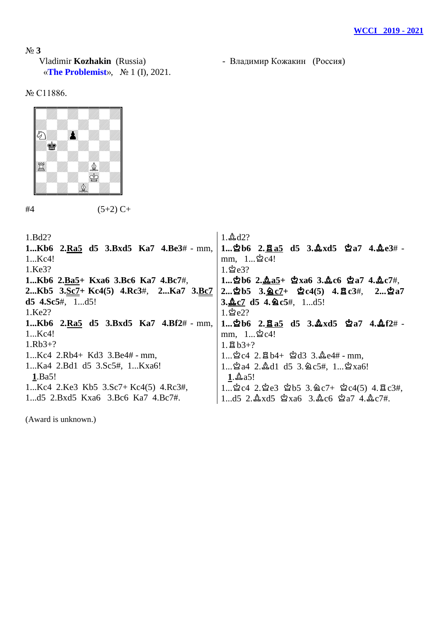Nº 3<br>Vladimir **Kozhakin** (Russia) «**The Problemist**», № 1 (I), 2021.

- Владимир Кожакин (Россия)

№ C11886.



 $#4$  (5+2) C+

| 1.Bd2?                                     | $1.\&0.42?$                                                                                                      |
|--------------------------------------------|------------------------------------------------------------------------------------------------------------------|
| 1Kb6 2.Ra5 d5 3.Bxd5 Ka7 4.Be3# - mm,      | $1$ $2b6$ $2.\underline{Ba5}$ d5 $3.\underline{A}xd5$ $2a7$ $4.\underline{A}e3#$                                 |
| 1Kc4!                                      | mm, $1$ $2c4!$                                                                                                   |
| 1.Ke3?                                     | $1.\,$ ජ් $e3?$                                                                                                  |
| 1Кb6 2.Вa5+ Кхаб 3.Вc6 Ка7 4.Вc7#,         | $1$ 2b6 2. $\mathbf{\underline{0}}$ a5+ 2xa6 3. $\mathbf{\underline{0}}$ c6 2a7 4. $\mathbf{\underline{0}}$ c7#, |
| 2Kb5 $3.5c7 + Kc4(5)$ 4.Rc3#, 2Ka7 $3.5c7$ | 2 空b5 3. 鱼c7+ 空c4(5) 4. 宣c3#, 2 空a7                                                                              |
| $d5$ 4.Sc5#, 1d5!                          | 3. $\&c7$ d5 4. $\&c5\#$ , 1d5!                                                                                  |
| 1.Ke2?                                     | $1.\n$ 2e2?                                                                                                      |
| 1 $Kb6$ 2.Ra5 d5 3.Bxd5 Ka7 4.Bf2# - mm,   | $1$ 2b6 2. $8a5$ d5 3. $2xd5$ 2a7 4. $2f2# -$                                                                    |
| 1Kc4!                                      | mm, $1$ $2c4!$                                                                                                   |
| $1.Rb3+?$                                  | $1.8B_{3+?}$                                                                                                     |
| $1Kc4$ 2.Rb4+ Kd3 3.Be4# - mm,             | $1$ $2c4$ 2. $2b4+$ $2d3$ 3. $2e4#$ - mm,                                                                        |
| 1Ka4 2.Bd1 d5 3.Sc5#, 1Kxa6!               | 1 $2a4$ 2. $d1$ d5 3. $2c5\#$ , 1 $2xa6!$                                                                        |
| 1.Ba5!                                     | $1.\&2a5!$                                                                                                       |
| 1Kc4 2.Ke3 Kb5 3.Sc7+ Kc4(5) 4.Rc3#,       | 1 $2c4$ 2. $2e3$ $2b5$ 3. $2c7 + 2c4(5)$ 4. $2c3\#$ ,                                                            |
| 1d5 2.Bxd5 Kxa6 3.Bc6 Ka7 4.Bc7#.          | 1d5 2. $\Delta$ xd5 $\Delta$ xa6 3. $\Delta$ c6 $\Delta$ a7 4. $\Delta$ c7#.                                     |
|                                            |                                                                                                                  |

(Award is unknown.)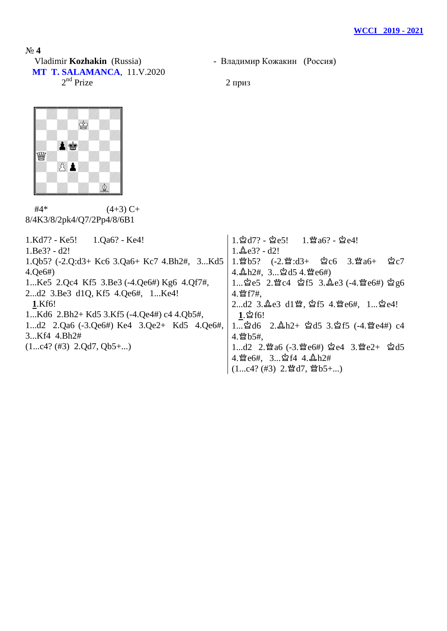- Владимир Кожакин (Россия)

Nº 4<br>Vladimir **Kozhakin** (Russia) **MT T. SALAMANCA**, 11.V.2020  $2<sup>nd</sup>$  Prize 2 приз



 $#4^*$  (4+3) C+ 8/4K3/8/2pk4/Q7/2Pp4/8/6B1

| 1.Qa6? - Ke4!<br>1.Kd7? - Ke5!                                  | 1. ~ d7? - ~ - ~ 0 = 5! 1. * a6? - ~ ~ 0 = 4!                                    |
|-----------------------------------------------------------------|----------------------------------------------------------------------------------|
| $1.Be3? - d2!$                                                  | $1.\&e3? - d2!$                                                                  |
| 1.Qb5? $(-2.Q: d3 + Kc6 \cdot 3.Qa6 + Kc7 \cdot 4.Bh2\#, 3Kd5)$ | 1. 曾b5? (-2. 曾:d3+   白c6   3. 曾a6+<br><u> ≌</u> 7                                |
| 4.0e6#                                                          | $4.\Delta h2\#$ , $3\Delta d54.\mathcal{C}$ e6#)                                 |
| 1Ke5 2.Qc4 Kf5 3.Be3 $(-4.Qe6\#)$ Kg6 4.Qf7#,                   | 1 空e5 2. 暨c4 空f5 3. 鱼e3 (-4. 暨e6#) 空g6                                           |
| 2d2 3.Be3 d1Q, Kf5 4.Qe6#, 1Ke4!                                | $4.$ 暨 f7#.                                                                      |
| 1.Kf6!                                                          | 2d2 3. he3 d1 . 空f5 4. se6#, 1 空e4!                                              |
| 1Kd6 $2.Bh2+Kd5$ 3.Kf5 $(-4.Qe4\#) c4$ 4.Qb5#,                  | $1.$ පූ $f6!$                                                                    |
| 1d2 $2.Qa6$ (-3. $Qe6\#$ ) Ke4 $3.Qe2+$ Kd5 $4.Qe6\#$ ,         | 1 $\Delta d6$ 2. $\Delta h2+$ $\Delta d5$ 3. $\Delta f5$ (-4. $\Delta e4\#$ ) c4 |
| 3Kf4 4.Bh2#                                                     | $4.$ 暨 b5#.                                                                      |
| $(1c4? (#3) 2.Qd7, Qb5+)$                                       | 1d2 2. 曾a6 (-3. 曾e6#) 空e4 3. 曾e2+ 空d5                                            |
|                                                                 | 4. 暨e6#, 3 空f4 4. 立h2#                                                           |
|                                                                 | $(1c4?$ (#3) 2. $\mathbb{Q}$ d7, $\mathbb{Q}$ b5+)                               |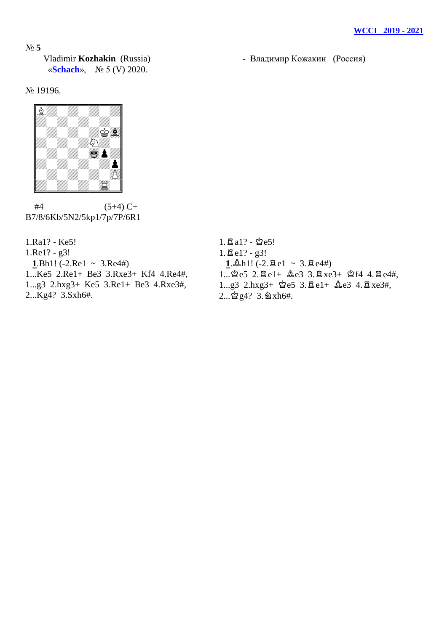## № **5**

 Vladimir **Kozhakin** (Russia) - Владимир Кожакин (Россия) «**Schach**», № 5 (V) 2020.

№ 19196.



 $#4$  (5+4) C+ B7/8/6Kb/5N2/5kp1/7p/7P/6R1

1.Ra1? - Ke5! 1.Re1? - g3!  $1. Bh1! (-2. Re1 \sim 3. Re4\#)$ 1...Ke5 2.Re1+ Be3 3.Rxe3+ Kf4 4.Re4#, 1...g3 2.hxg3+ Ke5 3.Re1+ Be3 4.Rxe3#, 2...Kg4? 3.Sxh6#.

 $1.\overline{2}a1? - \overset{\circ}{2}e5!$  $1. \text{Be}1? - g3!$  $1.\Delta h1!$  (-2. $\Xi$ e1 ~ 3. $\Xi$ e4#)  $1.$  $2e5$   $2.$  $Be1+$   $2e3$   $3.$  $Bxe3+$   $2f4$   $4.$  $Be4#$ ,  $1...g3$   $2.\text{hx}g3+$   $2e5$   $3.\text{Be}1+$   $2e3$   $4.\text{Be}3*$ ,  $2...$  $2g4?$   $3.\n 2xh6#$ .